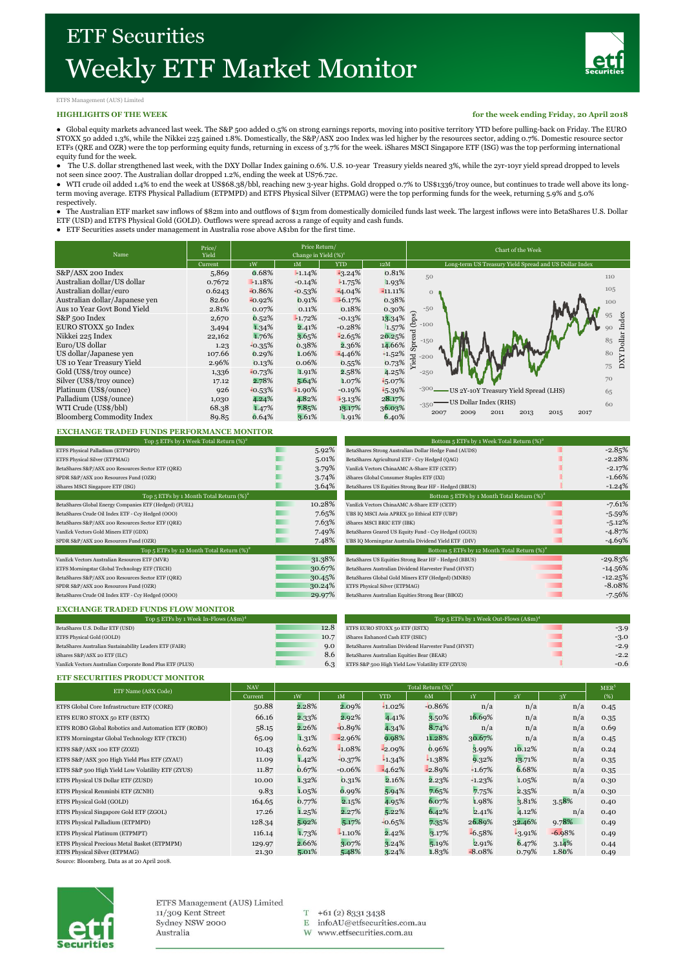

### ETFS Management (AUS) Limited

#### **HIGHLIGHTS OF THE WEEK**

**for the week ending Friday, 20 April 2018**

● Global equity markets advanced last week. The S&P 500 added 0.5% on strong earnings reports, moving into positive territory YTD before pulling-back on Friday. The EURO STOXX 50 added 1.3%, while the Nikkei 225 gained 1.8%. Domestically, the S&P/ASX 200 Index was led higher by the resources sector, adding 0.7%. Domestic resource sector ETFs (QRE and OZR) were the top performing equity funds, returning in excess of 3.7% for the week. iShares MSCI Singapore ETF (ISG) was the top performing international equity fund for the week.

● The U.S. dollar strengthened last week, with the DXY Dollar Index gaining 0.6%. U.S. 10-year Treasury yields neared 3%, while the 2yr-10yr yield spread dropped to levels

not seen since 2007. The Australian dollar dropped 1.2%, ending the week at US76.72c.<br>● WTI crude oil added 1.4% to end the week at US\$68.38/bbl, reaching new 3-year highs. Gold dropped 0.7% to US\$1336/troy ounce, but con term moving average. ETFS Physical Palladium (ETPMPD) and ETFS Physical Silver (ETPMAG) were the top performing funds for the week, returning 5.9% and 5.0% respectively.

● The Australian ETF market saw inflows of \$82m into and outflows of \$13m from domestically domiciled funds last week. The largest inflows were into BetaShares U.S. Dollar ETF (USD) and ETFS Physical Gold (GOLD). Outflows were spread across a range of equity and cash funds. ● ETF Securities assets under management in Australia rose above A\$1bn for the first time.

| Name                             | Price/<br>Yield | Price Return/<br>Change in Yield $(\%)^1$ |           |          |           | Chart of the Week                                      |  |  |  |
|----------------------------------|-----------------|-------------------------------------------|-----------|----------|-----------|--------------------------------------------------------|--|--|--|
|                                  | Current         | 1W<br>1M<br><b>YTD</b><br>12M             |           |          |           | Long-term US Treasury Yield Spread and US Dollar Index |  |  |  |
| S&P/ASX 200 Index                | 5,869           | 0.68%                                     | $-1.14%$  | $-3.24%$ | 0.81%     | 50<br>110                                              |  |  |  |
| Australian dollar/US dollar      | 0.7672          | $-1.18%$                                  | $-0.14%$  | $-1.75%$ | 1.93%     |                                                        |  |  |  |
| Australian dollar/euro           | 0.6243          | $-0.86%$                                  | $-0.53%$  | $-4.04%$ | $-11.11%$ | 105<br>$\Omega$                                        |  |  |  |
| Australian dollar/Japanese ven   | 82.60           | $-0.92%$                                  | 0.91%     | $-6.17%$ | 0.38%     | 100                                                    |  |  |  |
| Aus 10 Year Govt Bond Yield      | 2.81%           | 0.07%                                     | 0.11%     | 0.18%    | 0.30%     | $-50$                                                  |  |  |  |
| S&P 500 Index                    | 2,670           | 0.52%                                     | $-1.72%$  | $-0.13%$ | 13.34%    | (bps)<br>dex                                           |  |  |  |
| EURO STOXX 50 Index              | 3,494           | 1.34%                                     | 2.41%     | $-0.28%$ | 1.57%     | $-100$                                                 |  |  |  |
| Nikkei 225 Index                 | 22,162          | 1.76%                                     | 3.65%     | $-2.65%$ | 20.25%    | Spread<br><b>Dollar</b><br>85                          |  |  |  |
| Euro/US dollar                   | 1.23            | $-0.35%$                                  | 0.38%     | 2.36%    | 14.66%    | $-150$                                                 |  |  |  |
| US dollar/Japanese yen           | 107.66          | 0.29%                                     | 1.06%     | $-4.46%$ | $+1.52%$  | 80<br>$\overline{c}$<br>$-200$                         |  |  |  |
| US 10 Year Treasury Yield        | 2.96%           | 0.13%                                     | 0.06%     | 0.55%    | 0.73%     | $_{\rm XXO}$<br>Yiel<br>75                             |  |  |  |
| Gold (US\$/troy ounce)           | 1,336           | $-0.73%$                                  | 1.91%     | 2.58%    | 4.25%     | $-250$                                                 |  |  |  |
| Silver (US\$/troy ounce)         | 17.12           | 2.78%                                     | 5.64%     | 1.07%    | $-5.07%$  | 70                                                     |  |  |  |
| Platinum (US\$/ounce)            | 926             | $-0.53%$                                  | $-1.90\%$ | $-0.19%$ | $-5.39\%$ | $-300.$<br>US 2Y-10Y Treasury Yield Spread (LHS)<br>65 |  |  |  |
| Palladium (US\$/ounce)           | 1,030           | 4.24%                                     | 4.82%     | $-3.13%$ | 28.17%    | US Dollar Index (RHS)                                  |  |  |  |
| WTI Crude (US\$/bbl)             | 68.38           | 1.47%                                     | 7.85%     | 13.17%   | 36.03%    | 60<br>$-350$                                           |  |  |  |
| <b>Bloomberg Commodity Index</b> | 89.85           | 0.64%                                     | 3.61%     | 1.91%    | 6.40%     | 2007<br>2009<br>2011<br>2013<br>2015<br>2017           |  |  |  |

#### **EXCHANGE TRADED FUNDS PERFORMANCE MONITOR**

|        | Bottom 5 ETFs by 1 Week Total Return (%) <sup>2</sup> |           |  |  |
|--------|-------------------------------------------------------|-----------|--|--|
| 5.92%  | BetaShares Strong Australian Dollar Hedge Fund (AUDS) | $-2.85%$  |  |  |
| 5.01%  | BetaShares Agricultural ETF - Ccy Hedged (QAG)        | $-2.28%$  |  |  |
| 3.79%  | VanEck Vectors ChinaAMC A-Share ETF (CETF)            | $-2.17%$  |  |  |
| 3.74%  | iShares Global Consumer Staples ETF (IXI)             | $-1.66%$  |  |  |
| 3.64%  | BetaShares US Equities Strong Bear HF - Hedged (BBUS) | $-1.24%$  |  |  |
|        | Bottom 5 ETFs by 1 Month Total Return $(\%)^2$        |           |  |  |
| 10.28% | VanEck Vectors ChinaAMC A-Share ETF (CETF)            | $-7.61%$  |  |  |
| 7.65%  | UBS IQ MSCI Asia APREX 50 Ethical ETF (UBP)           | $-5.59%$  |  |  |
| 7.63%  | iShares MSCI BRIC ETF (IBK)                           | $-5.12%$  |  |  |
| 7.49%  | BetaShares Geared US Equity Fund - Ccy Hedged (GGUS)  | $-4.87%$  |  |  |
| 7.48%  | UBS IQ Morningstar Australia Dividend Yield ETF (DIV) | $-4.69%$  |  |  |
|        | Bottom 5 ETFs by 12 Month Total Return $(\%)^2$       |           |  |  |
| 31.38% | BetaShares US Equities Strong Bear HF - Hedged (BBUS) | $-29.83%$ |  |  |
| 30.67% | BetaShares Australian Dividend Harvester Fund (HVST)  | $-14.56%$ |  |  |
| 30.45% | BetaShares Global Gold Miners ETF (Hedged) (MNRS)     | $-12.25%$ |  |  |
| 30.24% | ETFS Physical Silver (ETPMAG)                         | $-8.08%$  |  |  |
| 29.97% | BetaShares Australian Equities Strong Bear (BBOZ)     | $-7.56%$  |  |  |
|        |                                                       |           |  |  |

| Bottom 5 ETFs by 1 Week Total Return $(\%)^2$         |           |  |  |  |  |  |
|-------------------------------------------------------|-----------|--|--|--|--|--|
| BetaShares Strong Australian Dollar Hedge Fund (AUDS) | $-2.85%$  |  |  |  |  |  |
| BetaShares Agricultural ETF - Ccy Hedged (QAG)        | $-2.28%$  |  |  |  |  |  |
| VanEck Vectors ChinaAMC A-Share ETF (CETF)            | $-2.17%$  |  |  |  |  |  |
| iShares Global Consumer Staples ETF (IXI)             | $-1.66%$  |  |  |  |  |  |
| BetaShares US Equities Strong Bear HF - Hedged (BBUS) | $-1.24%$  |  |  |  |  |  |
| Bottom 5 ETFs by 1 Month Total Return $(\%)^2$        |           |  |  |  |  |  |
| VanEck Vectors ChinaAMC A-Share ETF (CETF)            | $-7.61%$  |  |  |  |  |  |
| UBS IQ MSCI Asia APREX 50 Ethical ETF (UBP)           | $-5.59%$  |  |  |  |  |  |
| iShares MSCI BRIC ETF (IBK)                           | $-5.12%$  |  |  |  |  |  |
| BetaShares Geared US Equity Fund - Ccy Hedged (GGUS)  | $-4.87%$  |  |  |  |  |  |
| UBS IQ Morningstar Australia Dividend Yield ETF (DIV) | $-4.69%$  |  |  |  |  |  |
| Bottom 5 ETFs by 12 Month Total Return $(\%)^2$       |           |  |  |  |  |  |
| BetaShares US Equities Strong Bear HF - Hedged (BBUS) | $-29.83%$ |  |  |  |  |  |
| BetaShares Australian Dividend Harvester Fund (HVST)  | $-14.56%$ |  |  |  |  |  |
| BetaShares Global Gold Miners ETF (Hedged) (MNRS)     | $-12.25%$ |  |  |  |  |  |
| ETFS Physical Silver (ETPMAG)                         | $-8.08%$  |  |  |  |  |  |
| BetaShares Australian Equities Strong Bear (BBOZ)     | $-7.56%$  |  |  |  |  |  |
|                                                       |           |  |  |  |  |  |

#### **EXCHANGE TRADED FUNDS FLOW MONITOR**

| Top 5 ETFs by 1 Week In-Flows $(A\$ Sm)^4                |      | Top 5 ETFs by 1 Week Out-Flows (A\$m) <sup>4</sup>   |        |  |  |  |
|----------------------------------------------------------|------|------------------------------------------------------|--------|--|--|--|
| BetaShares U.S. Dollar ETF (USD)                         | 12.8 | ETFS EURO STOXX 50 ETF (ESTX)                        | $-3.9$ |  |  |  |
| ETFS Physical Gold (GOLD)                                | 10.7 | iShares Enhanced Cash ETF (ISEC)                     | $-3.0$ |  |  |  |
| BetaShares Australian Sustainability Leaders ETF (FAIR)  | 9.0  | BetaShares Australian Dividend Harvester Fund (HVST) | $-2.9$ |  |  |  |
| iShares S&P/ASX 20 ETF (ILC)                             | 8.6  | BetaShares Australian Equities Bear (BEAR)           | $-2.2$ |  |  |  |
| VanEck Vectors Australian Corporate Bond Plus ETF (PLUS) | 6.3  | ETFS S&P 500 High Yield Low Volatility ETF (ZYUS)    | $-0.6$ |  |  |  |

#### **ETF SECURITIES PRODUCT MONITOR**

| ETF Name (ASX Code)                                 | <b>NAV</b> | Total Return $(\%)^2$ |          |            |          |          |          |          | MER <sup>5</sup> |
|-----------------------------------------------------|------------|-----------------------|----------|------------|----------|----------|----------|----------|------------------|
|                                                     | Current    | 1W                    | 1M       | <b>YTD</b> | 6M       | 1Y       | 2Y       | 3Y       | (%)              |
| ETFS Global Core Infrastructure ETF (CORE)          | 50.88      | 2.28%                 | 2.09%    | $-1.02%$   | $-0.86%$ | n/a      | n/a      | n/a      | 0.45             |
| ETFS EURO STOXX 50 ETF (ESTX)                       | 66.16      | 2.33%                 | 2.92%    | 4.41%      | 3.50%    | 16.69%   | n/a      | n/a      | 0.35             |
| ETFS ROBO Global Robotics and Automation ETF (ROBO) | 58.15      | 2.26%                 | $-0.89%$ | 4.34%      | 8.74%    | n/a      | n/a      | n/a      | 0.69             |
| ETFS Morningstar Global Technology ETF (TECH)       | 65.09      | 1.31%                 | $-2.96%$ | 9.98%      | 11.28%   | 30.67%   | n/a      | n/a      | 0.45             |
| ETFS S&P/ASX 100 ETF (ZOZI)                         | 10.43      | 0.62%                 | $-1.08%$ | $-2.09%$   | 0.96%    | 3.99%    | 10.12%   | n/a      | 0.24             |
| ETFS S&P/ASX 300 High Yield Plus ETF (ZYAU)         | 11.09      | 1.42%                 | $-0.37%$ | $-1.34%$   | $-1.38%$ | 9.32%    | 13.71%   | n/a      | 0.35             |
| ETFS S&P 500 High Yield Low Volatility ETF (ZYUS)   | 11.87      | 0.67%                 | $-0.06%$ | $-4.62%$   | $-2.89%$ | $+1.67%$ | 6.68%    | n/a      | 0.35             |
| ETFS Physical US Dollar ETF (ZUSD)                  | 10.00      | 1.32%                 | 0.31%    | 2.16%      | 2.23%    | $+1.23%$ | 1.05%    | n/a      | 0.30             |
| ETFS Physical Renminbi ETF (ZCNH)                   | 9.83       | 1.05%                 | 0.99%    | 5.94%      | 7.65%    | 7.75%    | 2.35%    | n/a      | 0.30             |
| ETFS Physical Gold (GOLD)                           | 164.65     | 0.77%                 | 2.15%    | 4.95%      | 6.07%    | 1.98%    | 3.81%    | 3.58%    | 0.40             |
| ETFS Physical Singapore Gold ETF (ZGOL)             | 17.26      | 1.25%                 | 2.27%    | 5.22%      | 6.42%    | 2.41%    | 4.12%    | n/a      | 0.40             |
| ETFS Physical Palladium (ETPMPD)                    | 128.34     | 5.92%                 | 5.17%    | $-0.65%$   | 7.35%    | 26.89%   | 32.46%   | 9.78%    | 0.49             |
| ETFS Physical Platinum (ETPMPT)                     | 116.14     | 1.73%                 | $-1.10%$ | 2.42%      | 3.17%    | $-6.58%$ | $-3.91%$ | $-6.98%$ | 0.49             |
| ETFS Physical Precious Metal Basket (ETPMPM)        | 129.97     | 2.66%                 | 3.07%    | 3.24%      | 5.19%    | 2.91%    | 6.47%    | 3.14%    | 0.44             |
| ETFS Physical Silver (ETPMAG)                       | 21.30      | 5.01%                 | 5.48%    | $3.24\%$   | 1.83%    | $-8.08%$ | 0.79%    | 1.80%    | 0.49             |

Source: Bloomberg. Data as at 20 April 2018.



ETFS Management (AUS) Limited 11/309 Kent Street Sydney NSW 2000 Australia

 $T$  +61(2) 8331 3438

- E infoAU@etfsecurities.com.au
- W www.etfsecurities.com.au